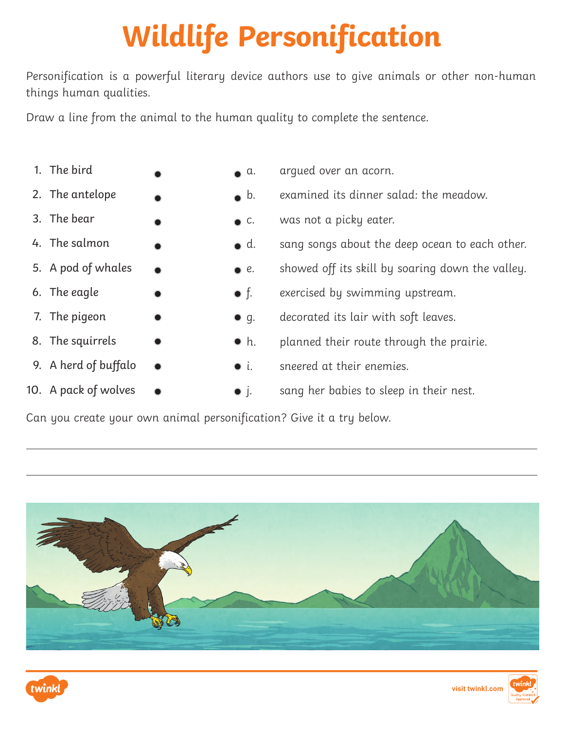## **Wildlife Personification**

Personification is a powerful literary device authors use to give animals or other non-human things human qualities.

Draw a line from the animal to the human quality to complete the sentence.

- 1. The bird
- 2. The antelope
- 3. The bear
- 4. The salmon
- 5. A pod of whales
- 6. The eagle
- 7. The pigeon
- 8. The squirrels
- 9. A herd of buffalo
- 10. A pack of wolves
- a. argued over an acorn.
- b. examined its dinner salad: the meadow.
- **c.** was not a picky eater.
- d. sang songs about the deep ocean to each other.
- e. showed off its skill by soaring down the valley.
- f. exercised by swimming upstream.
- q. decorated its lair with soft leaves.
- $\bullet$  h. planned their route through the prairie.
- i. sneered at their enemies.
- *j.* sang her babies to sleep in their nest.

Can you create your own animal personification? Give it a try below.